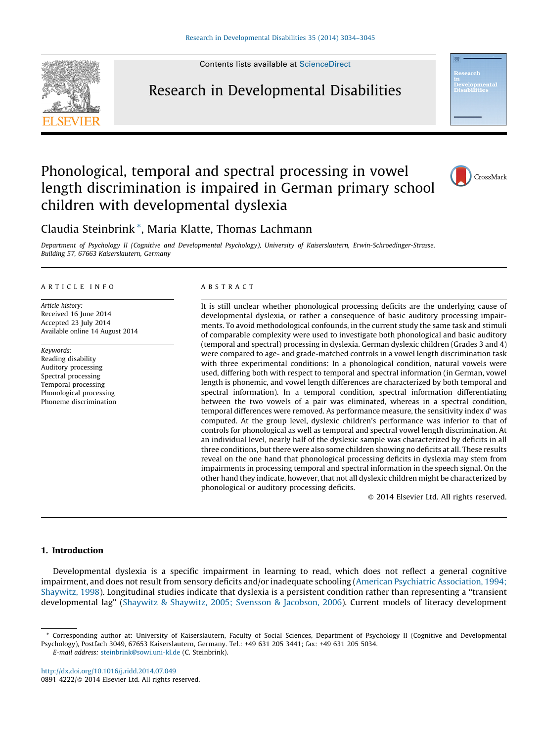Contents lists available at [ScienceDirect](http://www.sciencedirect.com/science/journal/08914222)



Research in Developmental Disabilities



## Phonological, temporal and spectral processing in vowel length discrimination is impaired in German primary school children with developmental dyslexia



### Claudia Steinbrink \*, Maria Klatte, Thomas Lachmann

Department of Psychology II (Cognitive and Developmental Psychology), University of Kaiserslautern, Erwin-Schroedinger-Strasse, Building 57, 67663 Kaiserslautern, Germany

#### A R T I C L E I N F O

Article history: Received 16 June 2014 Accepted 23 July 2014 Available online 14 August 2014

Keywords: Reading disability Auditory processing Spectral processing Temporal processing Phonological processing Phoneme discrimination

#### A B S T R A C T

It is still unclear whether phonological processing deficits are the underlying cause of developmental dyslexia, or rather a consequence of basic auditory processing impairments. To avoid methodological confounds, in the current study the same task and stimuli of comparable complexity were used to investigate both phonological and basic auditory (temporal and spectral) processing in dyslexia. German dyslexic children (Grades 3 and 4) were compared to age- and grade-matched controls in a vowel length discrimination task with three experimental conditions: In a phonological condition, natural vowels were used, differing both with respect to temporal and spectral information (in German, vowel length is phonemic, and vowel length differences are characterized by both temporal and spectral information). In a temporal condition, spectral information differentiating between the two vowels of a pair was eliminated, whereas in a spectral condition, temporal differences were removed. As performance measure, the sensitivity index  $d'$  was computed. At the group level, dyslexic children's performance was inferior to that of controls for phonological as well as temporal and spectral vowel length discrimination. At an individual level, nearly half of the dyslexic sample was characterized by deficits in all three conditions, butthere were also some children showing no deficits at all. These results reveal on the one hand that phonological processing deficits in dyslexia may stem from impairments in processing temporal and spectral information in the speech signal. On the other hand they indicate, however, that not all dyslexic children might be characterized by phonological or auditory processing deficits.

- 2014 Elsevier Ltd. All rights reserved.

#### 1. Introduction

Developmental dyslexia is a specific impairment in learning to read, which does not reflect a general cognitive impairment, and does not result from sensory deficits and/or inadequate schooling (American Psychiatric [Association,](#page--1-0) 1994; [Shaywitz,](#page--1-0) 1998). Longitudinal studies indicate that dyslexia is a persistent condition rather than representing a ''transient developmental lag'' (Shaywitz & [Shaywitz,](#page--1-0) 2005; Svensson & Jacobson, 2006). Current models of literacy development

E-mail address: [steinbrink@sowi.uni-kl.de](mailto:steinbrink@sowi.uni-kl.de) (C. Steinbrink).

<http://dx.doi.org/10.1016/j.ridd.2014.07.049> 0891-4222/© 2014 Elsevier Ltd. All rights reserved.

<sup>\*</sup> Corresponding author at: University of Kaiserslautern, Faculty of Social Sciences, Department of Psychology II (Cognitive and Developmental Psychology), Postfach 3049, 67653 Kaiserslautern, Germany. Tel.: +49 631 205 3441; fax: +49 631 205 5034.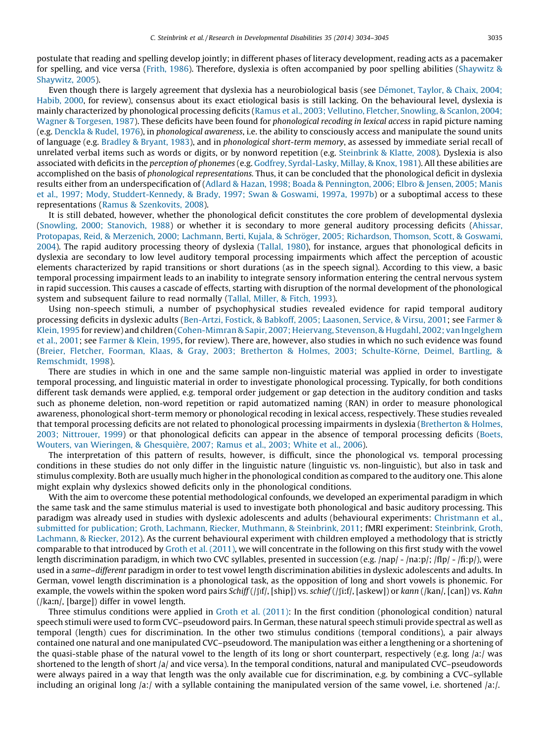postulate that reading and spelling develop jointly; in different phases of literacy development, reading acts as a pacemaker for spelling, and vice versa ([Frith,](#page--1-0) 1986). Therefore, dyslexia is often accompanied by poor spelling abilities [\(Shaywitz](#page--1-0) & [Shaywitz,](#page--1-0) 2005).

Even though there is largely agreement that dyslexia has a neurobiological basis (see Démonet, Taylor, & Chaix, 2004; [Habib,](#page--1-0) 2000, for review), consensus about its exact etiological basis is still lacking. On the behavioural level, dyslexia is mainly characterized by phonological processing deficits (Ramus et al., 2003; Vellutino, Fletcher, [Snowling,](#page--1-0) & Scanlon, 2004; Wagner & [Torgesen,](#page--1-0) 1987). These deficits have been found for *phonological recoding in lexical access* in rapid picture naming (e.g. [Denckla](#page--1-0) & Rudel, 1976), in phonological awareness, i.e. the ability to consciously access and manipulate the sound units of language (e.g. [Bradley](#page--1-0) & Bryant, 1983), and in phonological short-term memory, as assessed by immediate serial recall of unrelated verbal items such as words or digits, or by nonword repetition (e.g. [Steinbrink](#page--1-0) & Klatte, 2008). Dyslexia is also associated with deficits in the perception of phonemes (e.g. Godfrey, [Syrdal-Lasky,](#page--1-0) Millay, & Knox, 1981). All these abilities are accomplished on the basis of phonological representations. Thus, it can be concluded that the phonological deficit in dyslexia results either from an underspecification of (Adlard & Hazan, 1998; Boada & [Pennington,](#page--1-0) 2006; Elbro & Jensen, 2005; Manis et al., 1997; Mody, [Studdert-Kennedy,](#page--1-0) & Brady, 1997; Swan & Goswami, 1997a, 1997b) or a suboptimal access to these representations (Ramus & [Szenkovits,](#page--1-0) 2008).

It is still debated, however, whether the phonological deficit constitutes the core problem of developmental dyslexia (Snowling, 2000; [Stanovich,](#page--1-0) 1988) or whether it is secondary to more general auditory processing deficits [\(Ahissar,](#page--1-0) Protopapas, Reid, & Merzenich, 2000; Lachmann, Berti, Kujala, & Schröger, 2005; [Richardson,](#page--1-0) Thomson, Scott, & Goswami, [2004](#page--1-0)). The rapid auditory processing theory of dyslexia ([Tallal,](#page--1-0) 1980), for instance, argues that phonological deficits in dyslexia are secondary to low level auditory temporal processing impairments which affect the perception of acoustic elements characterized by rapid transitions or short durations (as in the speech signal). According to this view, a basic temporal processing impairment leads to an inability to integrate sensory information entering the central nervous system in rapid succession. This causes a cascade of effects, starting with disruption of the normal development of the phonological system and subsequent failure to read normally (Tallal, [Miller,](#page--1-0) & Fitch, 1993).

Using non-speech stimuli, a number of psychophysical studies revealed evidence for rapid temporal auditory processing deficits in dyslexic adults [\(Ben-Artzi,](#page--1-0) Fostick, & Babkoff, 2005; Laasonen, Service, & Virsu, 2001; see [Farmer](#page--1-0) & [Klein,](#page--1-0) 1995 for review) and children ([Cohen-Mimran&](#page--1-0) Sapir, 2007; Heiervang, Stevenson,& Hugdahl, 2002; van Ingelghem et al., [2001](#page--1-0); see [Farmer](#page--1-0) & Klein, 1995, for review). There are, however, also studies in which no such evidence was found (Breier, Fletcher, Foorman, Klaas, & Gray, 2003; Bretherton & Holmes, 2003; Schulte-Körne, Deimel, Bartling, & [Remschmidt,](#page--1-0) 1998).

There are studies in which in one and the same sample non-linguistic material was applied in order to investigate temporal processing, and linguistic material in order to investigate phonological processing. Typically, for both conditions different task demands were applied, e.g. temporal order judgement or gap detection in the auditory condition and tasks such as phoneme deletion, non-word repetition or rapid automatized naming (RAN) in order to measure phonological awareness, phonological short-term memory or phonological recoding in lexical access, respectively. These studies revealed that temporal processing deficits are not related to phonological processing impairments in dyslexia [\(Bretherton](#page--1-0) & Holmes, 2003; [Nittrouer,](#page--1-0) 1999) or that phonological deficits can appear in the absence of temporal processing deficits [\(Boets,](#page--1-0) Wouters, van [Wieringen,](#page--1-0) & Ghesquière, 2007; Ramus et al., 2003; White et al., 2006).

The interpretation of this pattern of results, however, is difficult, since the phonological vs. temporal processing conditions in these studies do not only differ in the linguistic nature (linguistic vs. non-linguistic), but also in task and stimulus complexity. Both are usually much higher in the phonological condition as compared to the auditory one. This alone might explain why dyslexics showed deficits only in the phonological conditions.

With the aim to overcome these potential methodological confounds, we developed an experimental paradigm in which the same task and the same stimulus material is used to investigate both phonological and basic auditory processing. This paradigm was already used in studies with dyslexic adolescents and adults (behavioural experiments: [Christmann](#page--1-0) et al., submitted for [publication;](#page--1-0) Groth, Lachmann, Riecker, Muthmann, & Steinbrink, 2011; fMRI experiment: [Steinbrink,](#page--1-0) Groth, [Lachmann,](#page--1-0) & Riecker, 2012). As the current behavioural experiment with children empIoyed a methodology that is strictly comparable to that introduced by Groth et al. [\(2011\)](#page--1-0), we will concentrate in the following on this first study with the vowel length discrimination paradigm, in which two CVC syllables, presented in succession (e.g. /nap/ - /na:p/; /fIp/ - /fi:p/), were used in a same–different paradigm in order to test vowel length discrimination abilities in dyslexic adolescents and adults. In German, vowel length discrimination is a phonological task, as the opposition of long and short vowels is phonemic. For example, the vowels within the spoken word pairs Schiff (/ $\int_{R}$ [ship]) vs. schief (/ $\int_{R}$ [inf], [askew]) or kann (/kan/, [can]) vs. Kahn  $(|karn|, [barge])$  differ in vowel length.

Three stimulus conditions were applied in Groth et al. [\(2011\):](#page--1-0) In the first condition (phonological condition) natural speech stimuli were used to form CVC–pseudoword pairs. In German, these natural speech stimuli provide spectral as well as temporal (length) cues for discrimination. In the other two stimulus conditions (temporal conditions), a pair always contained one natural and one manipulated CVC–pseudoword. The manipulation was either a lengthening or a shortening of the quasi-stable phase of the natural vowel to the length of its long or short counterpart, respectively (e.g. long /a:/ was shortened to the length of short /a/ and vice versa). In the temporal conditions, natural and manipulated CVC–pseudowords were always paired in a way that length was the only available cue for discrimination, e.g. by combining a CVC–syllable including an original long  $|a|$ : with a syllable containing the manipulated version of the same vowel, i.e. shortened  $|a|$ .